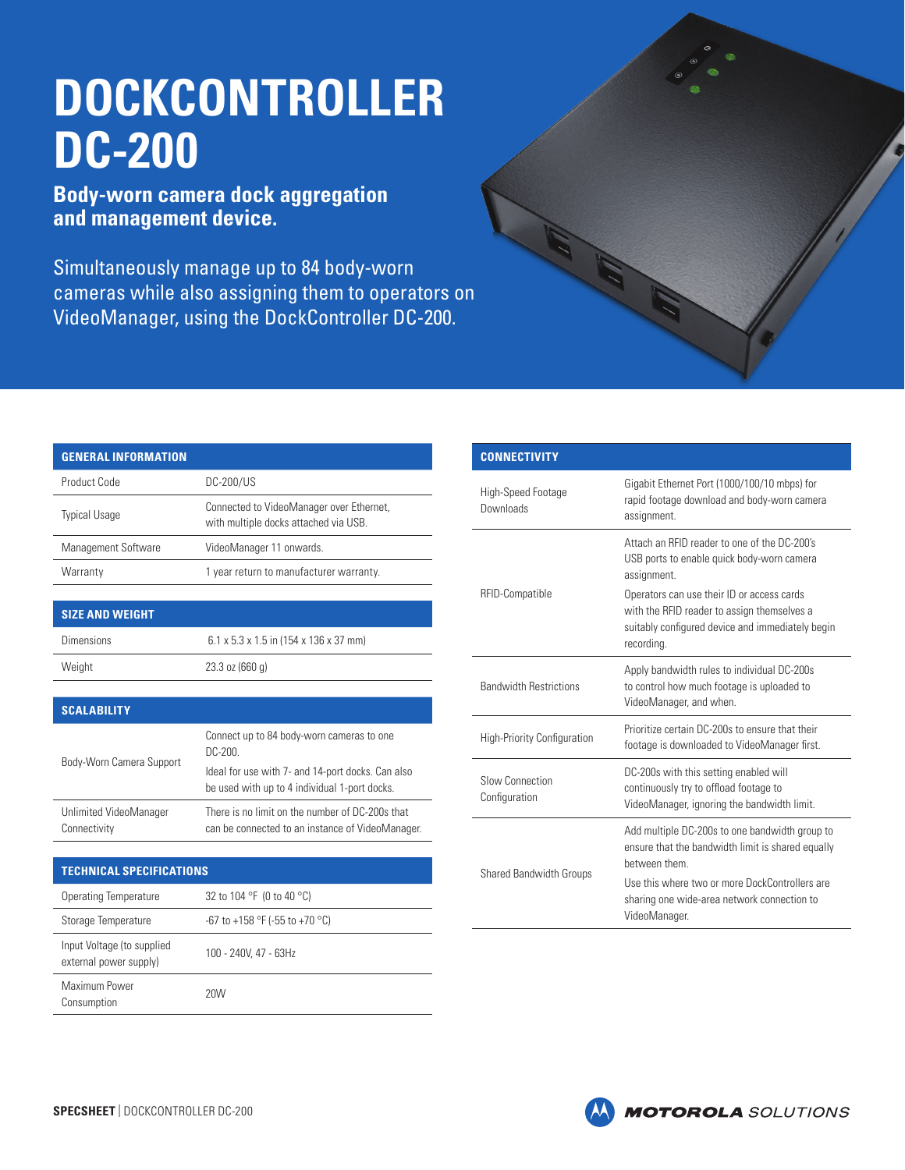# **DOCKCONTROLLER DC-200**

# **Body-worn camera dock aggregation and management device.**

Simultaneously manage up to 84 body-worn cameras while also assigning them to operators on VideoManager, using the DockController DC-200.

| <b>GENERAL INFORMATION</b> |                                                                                   |
|----------------------------|-----------------------------------------------------------------------------------|
| Product Code               | DC-200/US                                                                         |
| <b>Typical Usage</b>       | Connected to VideoManager over Ethernet,<br>with multiple docks attached via USB. |
| Management Software        | VideoManager 11 onwards.                                                          |
| Warranty                   | 1 year return to manufacturer warranty.                                           |

| <b>SIZE AND WEIGHT</b> |                                                    |
|------------------------|----------------------------------------------------|
| Dimensions             | $6.1 \times 5.3 \times 1.5$ in (154 x 136 x 37 mm) |
| Weight                 | $23.3$ oz (660 g)                                  |
|                        |                                                    |

## **SCALABILITY**

| Body-Worn Camera Support               | Connect up to 84 body-worn cameras to one<br>DC-200.                                                |
|----------------------------------------|-----------------------------------------------------------------------------------------------------|
|                                        | Ideal for use with 7- and 14-port docks. Can also<br>be used with up to 4 individual 1-port docks.  |
| Unlimited VideoManager<br>Connectivity | There is no limit on the number of DC-200s that<br>can be connected to an instance of VideoManager. |

#### **TECHNICAL SPECIFICATIONS**

| Operating Temperature                                | 32 to 104 °F (0 to 40 °C)      |
|------------------------------------------------------|--------------------------------|
| Storage Temperature                                  | -67 to +158 °F (-55 to +70 °C) |
| Input Voltage (to supplied<br>external power supply) | 100 - 240V, 47 - 63Hz          |
| Maximum Power<br>Consumption                         | 20W                            |

| <b>CONNECTIVITY</b>                |                                                                                                                                                             |
|------------------------------------|-------------------------------------------------------------------------------------------------------------------------------------------------------------|
| High-Speed Footage<br>Downloads    | Gigabit Ethernet Port (1000/100/10 mbps) for<br>rapid footage download and body-worn camera<br>assignment.                                                  |
| RFID-Compatible                    | Attach an RFID reader to one of the DC-200's<br>USB ports to enable quick body-worn camera<br>assignment.                                                   |
|                                    | Operators can use their ID or access cards<br>with the RFID reader to assign themselves a<br>suitably configured device and immediately begin<br>recording. |
| <b>Bandwidth Restrictions</b>      | Apply bandwidth rules to individual DC-200s<br>to control how much footage is uploaded to<br>VideoManager, and when.                                        |
| <b>High-Priority Configuration</b> | Prioritize certain DC-200s to ensure that their<br>footage is downloaded to VideoManager first.                                                             |
| Slow Connection<br>Configuration   | DC-200s with this setting enabled will<br>continuously try to offload footage to<br>VideoManager, ignoring the bandwidth limit.                             |
| <b>Shared Bandwidth Groups</b>     | Add multiple DC-200s to one bandwidth group to<br>ensure that the bandwidth limit is shared equally<br>hetween them                                         |
|                                    | Use this where two or more DockControllers are<br>sharing one wide-area network connection to<br>VideoManager.                                              |